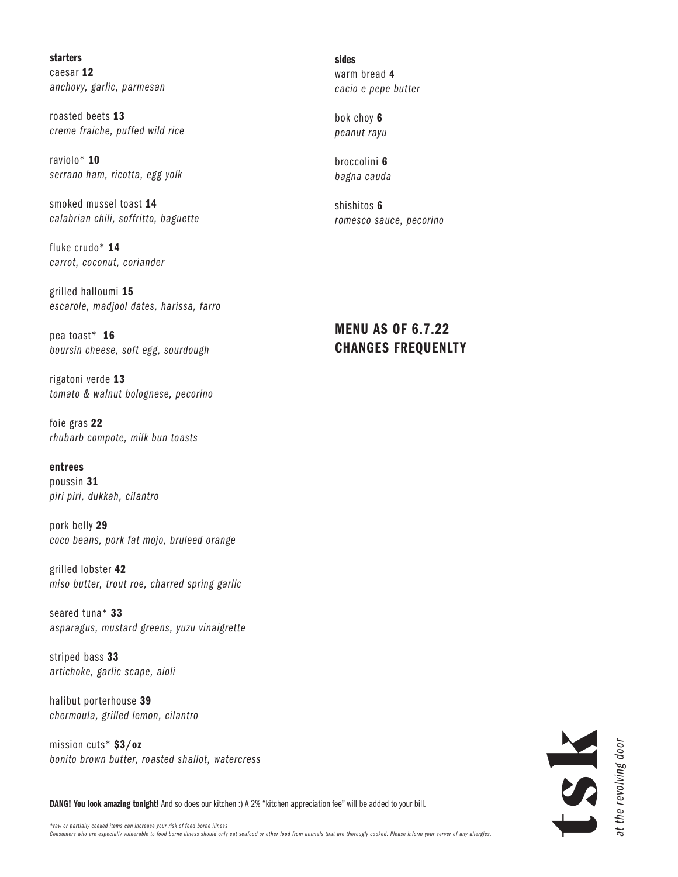# starters

caesar 12 *anchovy, garlic, parmesan*

roasted beets 13 *creme fraiche, puffed wild rice* 

raviolo\* 10 *serrano ham, ricotta, egg yolk*

smoked mussel toast 14 *calabrian chili, soffritto, baguette*

fluke crudo\* 14 *carrot, coconut, coriander*

grilled halloumi 15 *escarole, madjool dates, harissa, farro*

pea toast\* 16 *boursin cheese, soft egg, sourdough*

rigatoni verde 13 *tomato & walnut bolognese, pecorino*

foie gras 22 *rhubarb compote, milk bun toasts*

entrees

poussin 31 *piri piri, dukkah, cilantro*

pork belly 29 *coco beans, pork fat mojo, bruleed orange* 

grilled lobster 42 *miso butter, trout roe, charred spring garlic*

seared tuna\* 33 *asparagus, mustard greens, yuzu vinaigrette* 

striped bass 33 *artichoke, garlic scape, aioli*

halibut porterhouse 39 *chermoula, grilled lemon, cilantro*

mission cuts\* \$3/oz *bonito brown butter, roasted shallot, watercress* sides warm bread 4 *cacio e pepe butter*

bok choy 6 *peanut rayu*

broccolini 6 *bagna cauda*

shishitos 6 *romesco sauce, pecorino*

MENU AS OF 6.7.22 CHANGES FREQUENLTY



DANG! You look amazing tonight! And so does our kitchen :) A 2% "kitchen appreciation fee" will be added to your bill.